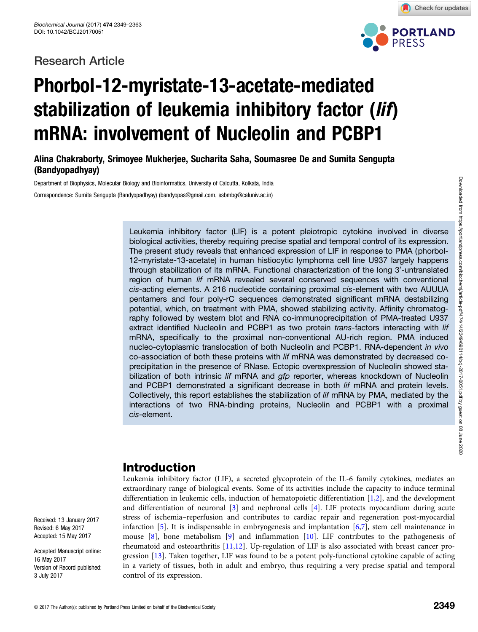# Research Article



Check for updates

# Phorbol-12-myristate-13-acetate-mediated stabilization of leukemia inhibitory factor (lif) mRNA: involvement of Nucleolin and PCBP1

Alina Chakraborty, Srimoyee Mukherjee, Sucharita Saha, Soumasree De and Sumita Sengupta (Bandyopadhyay)

Department of Biophysics, Molecular Biology and Bioinformatics, University of Calcutta, Kolkata, India

Correspondence: Sumita Sengupta (Bandyopadhyay) (bandyopas@gmail.com, ssbmbg@caluniv.ac.in)

Leukemia inhibitory factor (LIF) is a potent pleiotropic cytokine involved in diverse biological activities, thereby requiring precise spatial and temporal control of its expression. The present study reveals that enhanced expression of LIF in response to PMA (phorbol-12-myristate-13-acetate) in human histiocytic lymphoma cell line U937 largely happens through stabilization of its mRNA. Functional characterization of the long 3'-untranslated region of human lif mRNA revealed several conserved sequences with conventional cis-acting elements. A 216 nucleotide containing proximal cis-element with two AUUUA pentamers and four poly-rC sequences demonstrated significant mRNA destabilizing potential, which, on treatment with PMA, showed stabilizing activity. Affinity chromatography followed by western blot and RNA co-immunoprecipitation of PMA-treated U937 extract identified Nucleolin and PCBP1 as two protein *trans*-factors interacting with lif mRNA, specifically to the proximal non-conventional AU-rich region. PMA induced nucleo-cytoplasmic translocation of both Nucleolin and PCBP1. RNA-dependent in vivo co-association of both these proteins with lif mRNA was demonstrated by decreased coprecipitation in the presence of RNase. Ectopic overexpression of Nucleolin showed stabilization of both intrinsic lif mRNA and gfp reporter, whereas knockdown of Nucleolin and PCBP1 demonstrated a significant decrease in both lif mRNA and protein levels. Collectively, this report establishes the stabilization of lif mRNA by PMA, mediated by the interactions of two RNA-binding proteins, Nucleolin and PCBP1 with a proximal cis-element.

# Introduction

Leukemia inhibitory factor (LIF), a secreted glycoprotein of the IL-6 family cytokines, mediates an extraordinary range of biological events. Some of its activities include the capacity to induce terminal differentiation in leukemic cells, induction of hematopoietic differentiation [\[1,2\]](#page-13-0), and the development and differentiation of neuronal [\[3\]](#page-13-0) and nephronal cells [[4\]](#page-13-0). LIF protects myocardium during acute stress of ischemia–reperfusion and contributes to cardiac repair and regeneration post-myocardial infarction [\[5](#page-13-0)]. It is indispensable in embryogenesis and implantation [\[6,7\]](#page-13-0), stem cell maintenance in mouse  $[8]$ , bone metabolism  $[9]$  $[9]$  and inflammation  $[10]$ . LIF contributes to the pathogenesis of rheumatoid and osteoarthritis [\[11,12](#page-13-0)]. Up-regulation of LIF is also associated with breast cancer progression [\[13\]](#page-13-0). Taken together, LIF was found to be a potent poly-functional cytokine capable of acting in a variety of tissues, both in adult and embryo, thus requiring a very precise spatial and temporal control of its expression.

Received: 13 January 2017 Revised: 6 May 2017 Accepted: 15 May 2017

Accepted Manuscript online: 16 May 2017 Version of Record published: 3 July 2017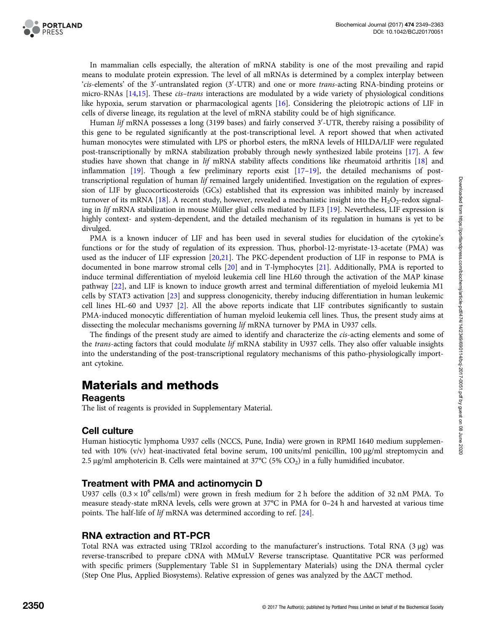

In mammalian cells especially, the alteration of mRNA stability is one of the most prevailing and rapid means to modulate protein expression. The level of all mRNAs is determined by a complex interplay between 'cis-elements' of the 3'-untranslated region (3'-UTR) and one or more trans-acting RNA-binding proteins or micro-RNAs [\[14,15\]](#page-13-0). These cis–trans interactions are modulated by a wide variety of physiological conditions like hypoxia, serum starvation or pharmacological agents [\[16\]](#page-13-0). Considering the pleiotropic actions of LIF in cells of diverse lineage, its regulation at the level of mRNA stability could be of high significance.

Human *lif* mRNA possesses a long (3199 bases) and fairly conserved 3′-UTR, thereby raising a possibility of this gene to be regulated significantly at the post-transcriptional level. A report showed that when activated human monocytes were stimulated with LPS or phorbol esters, the mRNA levels of HILDA/LIF were regulated post-transcriptionally by mRNA stabilization probably through newly synthesized labile proteins [[17](#page-13-0)]. A few studies have shown that change in lif mRNA stability affects conditions like rheumatoid arthritis [\[18\]](#page-13-0) and inflammation  $[19]$  $[19]$  $[19]$ . Though a few preliminary reports exist  $[17-19]$  $[17-19]$  $[17-19]$ , the detailed mechanisms of posttranscriptional regulation of human *lif* remained largely unidentified. Investigation on the regulation of expression of LIF by glucocorticosteroids (GCs) established that its expression was inhibited mainly by increased turnover of its mRNA [\[18\]](#page-13-0). A recent study, however, revealed a mechanistic insight into the  $H_2O_2$ -redox signaling in lif mRNA stabilization in mouse Müller glial cells mediated by ILF3 [[19](#page-13-0)]. Nevertheless, LIF expression is highly context- and system-dependent, and the detailed mechanism of its regulation in humans is yet to be divulged.

PMA is a known inducer of LIF and has been used in several studies for elucidation of the cytokine's functions or for the study of regulation of its expression. Thus, phorbol-12-myristate-13-acetate (PMA) was used as the inducer of LIF expression [[20](#page-13-0),[21](#page-13-0)]. The PKC-dependent production of LIF in response to PMA is documented in bone marrow stromal cells [\[20\]](#page-13-0) and in T-lymphocytes [[21](#page-13-0)]. Additionally, PMA is reported to induce terminal differentiation of myeloid leukemia cell line HL60 through the activation of the MAP kinase pathway [\[22\]](#page-13-0), and LIF is known to induce growth arrest and terminal differentiation of myeloid leukemia M1 cells by STAT3 activation [[23](#page-13-0)] and suppress clonogenicity, thereby inducing differentiation in human leukemic cell lines HL-60 and U937 [\[2\]](#page-13-0). All the above reports indicate that LIF contributes significantly to sustain PMA-induced monocytic differentiation of human myeloid leukemia cell lines. Thus, the present study aims at dissecting the molecular mechanisms governing lif mRNA turnover by PMA in U937 cells.

The findings of the present study are aimed to identify and characterize the *cis*-acting elements and some of the trans-acting factors that could modulate lif mRNA stability in U937 cells. They also offer valuable insights into the understanding of the post-transcriptional regulatory mechanisms of this patho-physiologically important cytokine.

# Materials and methods

#### **Reagents**

The list of reagents is provided in Supplementary Material.

#### Cell culture

Human histiocytic lymphoma U937 cells (NCCS, Pune, India) were grown in RPMI 1640 medium supplemented with 10% (v/v) heat-inactivated fetal bovine serum, 100 units/ml penicillin, 100 μg/ml streptomycin and 2.5 μg/ml amphotericin B. Cells were maintained at  $37^{\circ}C$  (5% CO<sub>2</sub>) in a fully humidified incubator.

#### Treatment with PMA and actinomycin D

U937 cells  $(0.3 \times 10^6 \text{ cells/ml})$  were grown in fresh medium for 2 h before the addition of 32 nM PMA. To measure steady-state mRNA levels, cells were grown at 37°C in PMA for 0–24 h and harvested at various time points. The half-life of lif mRNA was determined according to ref. [\[24\]](#page-13-0).

# RNA extraction and RT-PCR

Total RNA was extracted using TRIzol according to the manufacturer's instructions. Total RNA (3 μg) was reverse-transcribed to prepare cDNA with MMuLV Reverse transcriptase. Quantitative PCR was performed with specific primers (Supplementary Table S1 in Supplementary Materials) using the DNA thermal cycler (Step One Plus, Applied Biosystems). Relative expression of genes was analyzed by the ΔΔCT method.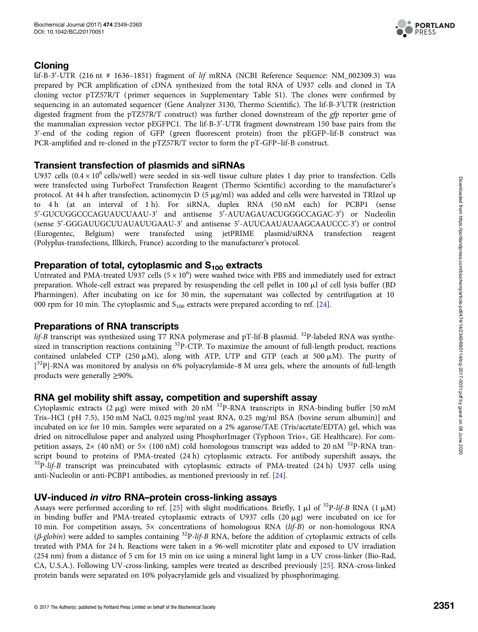

# Cloning

 $\rm{lif-B-3'-UTR}$  (216 nt # 1636–1851) fragment of lif mRNA (NCBI Reference Sequence: NM\_002309.3) was prepared by PCR amplification of cDNA synthesized from the total RNA of U937 cells and cloned in TA cloning vector pTZ57R/T ( primer sequences in Supplementary Table S1). The clones were confirmed by sequencing in an automated sequencer (Gene Analyzer 3130, Thermo Scientific). The lif-B-3'UTR (restriction digested fragment from the pTZ57R/T construct) was further cloned downstream of the gfp reporter gene of the mammalian expression vector pEGFPC1. The lif-B-3′-UTR fragment downstream 150 base pairs from the 3'-end of the coding region of GFP (green fluorescent protein) from the pEGFP-lif-B construct was PCR-amplified and re-cloned in the pTZ57R/T vector to form the pT-GFP–lif-B construct.

# Transient transfection of plasmids and siRNAs

U937 cells  $(0.4 \times 10^6 \text{ cells/well})$  were seeded in six-well tissue culture plates 1 day prior to transfection. Cells were transfected using TurboFect Transfection Reagent (Thermo Scientific) according to the manufacturer's protocol. At 44 h after transfection, actinomycin D (5 µg/ml) was added and cells were harvested in TRIzol up to 4 h (at an interval of 1 h). For siRNA, duplex RNA (50 nM each) for PCBP1 (sense 5'-GUCUGGCCCAGUAUCUAAU-3' and antisense 5'-AUUAGAUACUGGGCCAGAC-3') or Nucleolin (sense 5'-GGGAUUGCUUAUAUUGAAU-3' and antisense 5'-AUUCAAUAUAAGCAAUCCC-3') or control (Eurogentec, Belgium) were transfected using jetPRIME plasmid/siRNA transfection reagent (Polyplus-transfections, Illkirch, France) according to the manufacturer's protocol.

# Preparation of total, cytoplasmic and  $S_{100}$  extracts

Untreated and PMA-treated U937 cells  $(5 \times 10^6)$  were washed twice with PBS and immediately used for extract preparation. Whole-cell extract was prepared by resuspending the cell pellet in 100 µl of cell lysis buffer (BD Pharmingen). After incubating on ice for 30 min, the supernatant was collected by centrifugation at 10 000 rpm for 10 min. The cytoplasmic and  $S_{100}$  extracts were prepared according to ref. [[24\]](#page-13-0).

# Preparations of RNA transcripts

lif-B transcript was synthesized using T7 RNA polymerase and pT-lif-B plasmid. <sup>32</sup>P-labeled RNA was synthesized in transcription reactions containing <sup>32</sup>P-CTP. To maximize the amount of full-length product, reactions contained unlabeled CTP (250  $\mu$ M), along with ATP, UTP and GTP (each at 500  $\mu$ M). The purity of [<sup>32</sup>P]-RNA was monitored by analysis on 6% polyacrylamide-8 M urea gels, where the amounts of full-length products were generally ≥90%.

# RNA gel mobility shift assay, competition and supershift assay

Cytoplasmic extracts (2  $\mu$ g) were mixed with 20 nM <sup>32</sup>P-RNA transcripts in RNA-binding buffer [50 mM Tris–HCl ( pH 7.5), 150 mM NaCl, 0.025 mg/ml yeast RNA, 0.25 mg/ml BSA (bovine serum albumin)] and incubated on ice for 10 min. Samples were separated on a 2% agarose/TAE (Tris/acetate/EDTA) gel, which was dried on nitrocellulose paper and analyzed using PhosphorImager (Typhoon Trio+, GE Healthcare). For competition assays,  $2\times$  (40 nM) or 5 $\times$  (100 nM) cold homologous transcript was added to 20 nM <sup>32</sup>P-RNA transcript bound to proteins of PMA-treated (24 h) cytoplasmic extracts. For antibody supershift assays, the  $32P$ -lif-B transcript was preincubated with cytoplasmic extracts of PMA-treated (24 h) U937 cells using anti-Nucleolin or anti-PCBP1 antibodies, as mentioned previously in ref. [\[24\]](#page-13-0).

# UV-induced in vitro RNA–protein cross-linking assays

Assays were performed according to ref. [[25\]](#page-14-0) with slight modifications. Briefly, 1  $\mu$ l of <sup>32</sup>P-lif-B RNA (1  $\mu$ M) in binding buffer and PMA-treated cytoplasmic extracts of U937 cells  $(20 \mu g)$  were incubated on ice for 10 min. For competition assays, 5× concentrations of homologous RNA (lif-B) or non-homologous RNA  $(\beta$ -globin) were added to samples containing  ${}^{32}P$ -lif-B RNA, before the addition of cytoplasmic extracts of cells treated with PMA for 24 h. Reactions were taken in a 96-well microtiter plate and exposed to UV irradiation (254 nm) from a distance of 5 cm for 15 min on ice using a mineral light lamp in a UV cross-linker (Bio-Rad, CA, U.S.A.). Following UV-cross-linking, samples were treated as described previously [\[25](#page-14-0)]. RNA-cross-linked protein bands were separated on 10% polyacrylamide gels and visualized by phosphorimaging.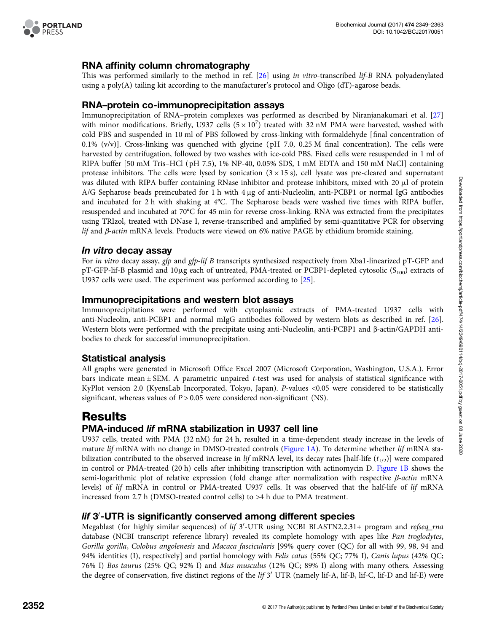

# RNA affinity column chromatography

This was performed similarly to the method in ref. [[26](#page-14-0)] using in vitro-transcribed lif-B RNA polyadenylated using a poly(A) tailing kit according to the manufacturer's protocol and Oligo ( $dT$ )-agarose beads.

#### RNA–protein co-immunoprecipitation assays

Immunoprecipitation of RNA–protein complexes was performed as described by Niranjanakumari et al. [[27](#page-14-0)] with minor modifications. Briefly, U937 cells  $(5 \times 10^7)$  treated with 32 nM PMA were harvested, washed with cold PBS and suspended in 10 ml of PBS followed by cross-linking with formaldehyde [final concentration of 0.1%  $(v/v)$ ]. Cross-linking was quenched with glycine (pH 7.0, 0.25 M final concentration). The cells were harvested by centrifugation, followed by two washes with ice-cold PBS. Fixed cells were resuspended in 1 ml of RIPA buffer [50 mM Tris–HCl ( pH 7.5), 1% NP-40, 0.05% SDS, 1 mM EDTA and 150 mM NaCl] containing protease inhibitors. The cells were lysed by sonication  $(3 \times 15 \text{ s})$ , cell lysate was pre-cleared and supernatant was diluted with RIPA buffer containing RNase inhibitor and protease inhibitors, mixed with 20  $\mu$ l of protein A/G Sepharose beads preincubated for 1 h with 4 μg of anti-Nucleolin, anti-PCBP1 or normal IgG antibodies and incubated for 2 h with shaking at 4°C. The Sepharose beads were washed five times with RIPA buffer, resuspended and incubated at 70°C for 45 min for reverse cross-linking. RNA was extracted from the precipitates using TRIzol, treated with DNase I, reverse-transcribed and amplified by semi-quantitative PCR for observing lif and β-actin mRNA levels. Products were viewed on 6% native PAGE by ethidium bromide staining.

#### In vitro decay assay

For in vitro decay assay, gfp and gfp-lif B transcripts synthesized respectively from Xba1-linearized pT-GFP and pT-GFP-lif-B plasmid and 10 $\mu$ g each of untreated, PMA-treated or PCBP1-depleted cytosolic (S<sub>100</sub>) extracts of U937 cells were used. The experiment was performed according to [\[25\]](#page-14-0).

#### Immunoprecipitations and western blot assays

Immunoprecipitations were performed with cytoplasmic extracts of PMA-treated U937 cells with anti-Nucleolin, anti-PCBP1 and normal mIgG antibodies followed by western blots as described in ref. [[26](#page-14-0)]. Western blots were performed with the precipitate using anti-Nucleolin, anti-PCBP1 and β-actin/GAPDH antibodies to check for successful immunoprecipitation.

# Statistical analysis

All graphs were generated in Microsoft Office Excel 2007 (Microsoft Corporation, Washington, U.S.A.). Error bars indicate mean ± SEM. A parametric unpaired t-test was used for analysis of statistical significance with KyPlot version 2.0 (KyensLab Incorporated, Tokyo, Japan). P-values <0.05 were considered to be statistically significant, whereas values of  $P > 0.05$  were considered non-significant (NS).

# **Results**

# PMA-induced lif mRNA stabilization in U937 cell line

U937 cells, treated with PMA (32 nM) for 24 h, resulted in a time-dependent steady increase in the levels of mature lif mRNA with no change in DMSO-treated controls ([Figure 1A\)](#page-4-0). To determine whether lif mRNA stabilization contributed to the observed increase in lif mRNA level, its decay rates [half-life  $(t_{1/2})$ ] were compared in control or PMA-treated (20 h) cells after inhibiting transcription with actinomycin D. [Figure 1B](#page-4-0) shows the semi-logarithmic plot of relative expression (fold change after normalization with respective β-actin mRNA levels) of lif mRNA in control or PMA-treated U937 cells. It was observed that the half-life of lif mRNA increased from 2.7 h (DMSO-treated control cells) to >4 h due to PMA treatment.

# lif 3'-UTR is significantly conserved among different species

Megablast (for highly similar sequences) of *lif 3'*-UTR using NCBI BLASTN2.2.31+ program and *refseq\_rna* database (NCBI transcript reference library) revealed its complete homology with apes like Pan troglodytes, Gorilla gorilla, Colobus angolenesis and Macaca fascicularis [99% query cover (QC) for all with 99, 98, 94 and 94% identities (I), respectively] and partial homology with Felis catus (55% QC; 77% I), Canis lupus (42% QC; 76% I) Bos taurus (25% QC; 92% I) and Mus musculus (12% QC; 89% I) along with many others. Assessing the degree of conservation, five distinct regions of the *lif 3'* UTR (namely lif-A, lif-B, lif-C, lif-D and lif-E) were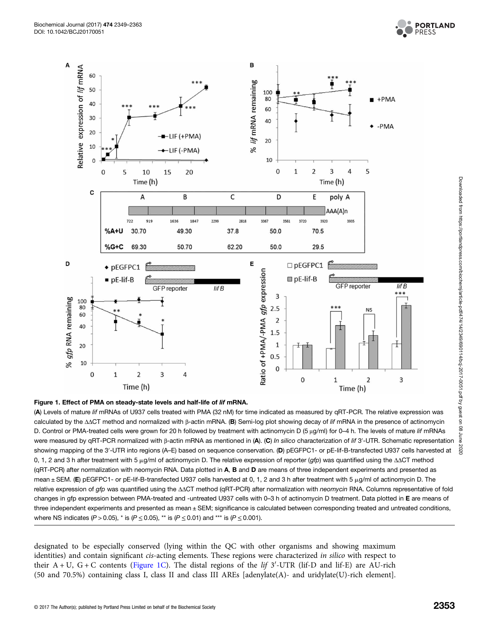

<span id="page-4-0"></span>



(A) Levels of mature lif mRNAs of U937 cells treated with PMA (32 nM) for time indicated as measured by qRT-PCR. The relative expression was calculated by the ΔΔCT method and normalized with <sup>β</sup>-actin mRNA. (B) Semi-log plot showing decay of lif mRNA in the presence of actinomycin D. Control or PMA-treated cells were grown for 20 h followed by treatment with actinomycin D (5 <sup>μ</sup>g/ml) for 0–4 h. The levels of mature lif mRNAs were measured by qRT-PCR normalized with β-actin mRNA as mentioned in (A). (C) *In silico characterization of lif 3'*-UTR. Schematic representation<br>-beview managing of the 0' UTD into maxima (A, E) has also as manages ass showing mapping of the 3'-UTR into regions (A–E) based on sequence conservation. (D) pEGFPC1- or pE-lif-B-transfected U937 cells harvested at 0, 1, 2 and 3 h after treatment with 5 μg/ml of actinomycin D. The relative expression of reporter (gfp) was quantified using the ΔΔCT method (qRT-PCR) after normalization with neomycin RNA. Data plotted in A, B and D are means of three independent experiments and presented as mean  $\pm$  SEM. (E) pEGFPC1- or pE-lif-B-transfected U937 cells harvested at 0, 1, 2 and 3 h after treatment with 5  $\mu$ g/ml of actinomycin D. The relative expression of gfp was quantified using the ΔΔCT method (qRT-PCR) after normalization with *neomycin* RNA. Columns representative of fold changes in gfp expression between PMA-treated and -untreated U937 cells with 0-3 h of actinomycin D treatment. Data plotted in E are means of three independent experiments and presented as mean ± SEM; significance is calculated between corresponding treated and untreated conditions, where NS indicates (P > 0.05), \* is (P  $\leq$  0.05), \*\* is (P  $\leq$  0.01) and \*\*\* is (P  $\leq$  0.001).

designated to be especially conserved (lying within the QC with other organisms and showing maximum identities) and contain significant *cis*-acting elements. These regions were characterized in silico with respect to their  $A + U$ ,  $G + C$  contents (Figure 1C). The distal regions of the *lif* 3'-UTR (lif-D and lif-E) are AU-rich (50 and 70.5%) containing class I, class II and class III AREs [adenylate(A)- and uridylate(U)-rich element].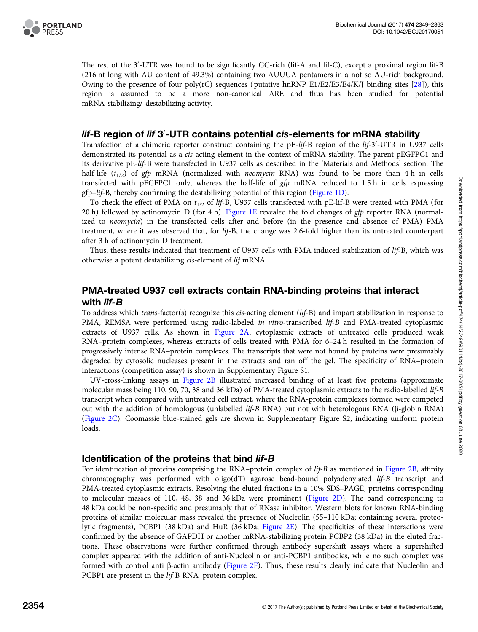

The rest of the 3'-UTR was found to be significantly GC-rich (lif-A and lif-C), except a proximal region lif-B (216 nt long with AU content of 49.3%) containing two AUUUA pentamers in a not so AU-rich background. Owing to the presence of four poly(rC) sequences (putative hnRNP E1/E2/E3/E4/K/J binding sites [[28](#page-14-0)]), this region is assumed to be a more non-canonical ARE and thus has been studied for potential mRNA-stabilizing/-destabilizing activity.

# *lif-*B region of *lif* 3′-UTR contains potential c*i*s-elements for mRNA stability

Transfection of a chimeric reporter construct containing the pE-lif-B region of the lif-3'-UTR in U937 cells demonstrated its potential as a cis-acting element in the context of mRNA stability. The parent pEGFPC1 and its derivative pE-lif-B were transfected in U937 cells as described in the 'Materials and Methods' section. The half-life  $(t_{1/2})$  of gfp mRNA (normalized with *neomycin* RNA) was found to be more than 4 h in cells transfected with pEGFPC1 only, whereas the half-life of gfp mRNA reduced to 1.5 h in cells expressing gfp–lif-B, thereby confirming the destabilizing potential of this region ([Figure 1D](#page-4-0)).

To check the effect of PMA on  $t_{1/2}$  of lif-B, U937 cells transfected with pE-lif-B were treated with PMA (for 20 h) followed by actinomycin D (for 4 h). [Figure 1E](#page-4-0) revealed the fold changes of gfp reporter RNA (normalized to neomycin) in the transfected cells after and before (in the presence and absence of PMA) PMA treatment, where it was observed that, for lif-B, the change was 2.6-fold higher than its untreated counterpart after 3 h of actinomycin D treatment.

Thus, these results indicated that treatment of U937 cells with PMA induced stabilization of lif-B, which was otherwise a potent destabilizing cis-element of lif mRNA.

#### PMA-treated U937 cell extracts contain RNA-binding proteins that interact with *lif-B*

To address which trans-factor(s) recognize this cis-acting element (lif-B) and impart stabilization in response to PMA, REMSA were performed using radio-labeled in vitro-transcribed lif-B and PMA-treated cytoplasmic extracts of U937 cells. As shown in [Figure 2A,](#page-6-0) cytoplasmic extracts of untreated cells produced weak RNA–protein complexes, whereas extracts of cells treated with PMA for 6–24 h resulted in the formation of progressively intense RNA–protein complexes. The transcripts that were not bound by proteins were presumably degraded by cytosolic nucleases present in the extracts and ran off the gel. The specificity of RNA–protein interactions (competition assay) is shown in Supplementary Figure S1.

UV-cross-linking assays in [Figure 2B](#page-6-0) illustrated increased binding of at least five proteins (approximate molecular mass being 110, 90, 70, 38 and 36 kDa) of PMA-treated cytoplasmic extracts to the radio-labelled lif-B transcript when compared with untreated cell extract, where the RNA-protein complexes formed were competed out with the addition of homologous (unlabelled lif-B RNA) but not with heterologous RNA (β-globin RNA) ([Figure 2C](#page-6-0)). Coomassie blue-stained gels are shown in Supplementary Figure S2, indicating uniform protein loads.

#### Identification of the proteins that bind *lif-B*

For identification of proteins comprising the RNA–protein complex of *lif-B* as mentioned in [Figure 2B](#page-6-0), affinity chromatography was performed with oligo(dT) agarose bead-bound polyadenylated lif-B transcript and PMA-treated cytoplasmic extracts. Resolving the eluted fractions in a 10% SDS–PAGE, proteins corresponding to molecular masses of 110, 48, 38 and 36 kDa were prominent [\(Figure 2D\)](#page-6-0). The band corresponding to 48 kDa could be non-specific and presumably that of RNase inhibitor. Western blots for known RNA-binding proteins of similar molecular mass revealed the presence of Nucleolin (55–110 kDa; containing several proteolytic fragments), PCBP1 (38 kDa) and HuR (36 kDa; [Figure 2E\)](#page-6-0). The specificities of these interactions were confirmed by the absence of GAPDH or another mRNA-stabilizing protein PCBP2 (38 kDa) in the eluted fractions. These observations were further confirmed through antibody supershift assays where a supershifted complex appeared with the addition of anti-Nucleolin or anti-PCBP1 antibodies, while no such complex was formed with control anti β-actin antibody [\(Figure 2F](#page-6-0)). Thus, these results clearly indicate that Nucleolin and PCBP1 are present in the *lif-B* RNA–protein complex.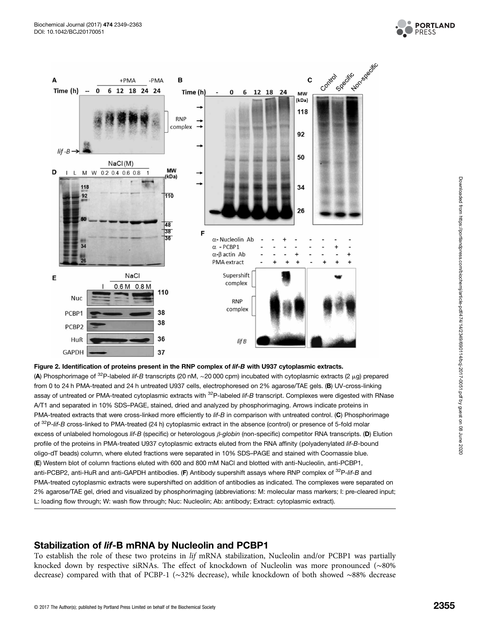

<span id="page-6-0"></span>

#### Figure 2. Identification of proteins present in the RNP complex of lif-B with U937 cytoplasmic extracts.

(A) Phosphorimage of  $^{32}P$ -labeled lif-B transcripts (20 nM, ~20 000 cpm) incubated with cytoplasmic extracts (2 µg) prepared from 0 to 24 h PMA-treated and 24 h untreated U937 cells, electrophoresed on 2% agarose/TAE gels. (B) UV-cross-linking assay of untreated or PMA-treated cytoplasmic extracts with <sup>32</sup>P-labeled lif-B transcript. Complexes were digested with RNase A/T1 and separated in 10% SDS–PAGE, stained, dried and analyzed by phosphorimaging. Arrows indicate proteins in PMA-treated extracts that were cross-linked more efficiently to lif-B in comparison with untreated control. (C) Phosphorimage of <sup>32</sup>P-lif-B cross-linked to PMA-treated (24 h) cytoplasmic extract in the absence (control) or presence of 5-fold molar excess of unlabeled homologous lif-B (specific) or heterologous <sup>β</sup>-globin (non-specific) competitor RNA transcripts. (D) Elution profile of the proteins in PMA-treated U937 cytoplasmic extracts eluted from the RNA affinity (polyadenylated lif-B-bound oligo-dT beads) column, where eluted fractions were separated in 10% SDS–PAGE and stained with Coomassie blue. (E) Western blot of column fractions eluted with 600 and 800 mM NaCl and blotted with anti-Nucleolin, anti-PCBP1, anti-PCBP2, anti-HuR and anti-GAPDH antibodies. (F) Antibody supershift assays where RNP complex of <sup>32</sup>P-lif-B and PMA-treated cytoplasmic extracts were supershifted on addition of antibodies as indicated. The complexes were separated on 2% agarose/TAE gel, dried and visualized by phosphorimaging (abbreviations: M: molecular mass markers; I: pre-cleared input; L: loading flow through; W: wash flow through; Nuc: Nucleolin; Ab: antibody; Extract: cytoplasmic extract).

#### Stabilization of lif-B mRNA by Nucleolin and PCBP1

To establish the role of these two proteins in lif mRNA stabilization, Nucleolin and/or PCBP1 was partially knocked down by respective siRNAs. The effect of knockdown of Nucleolin was more pronounced (∼80% decrease) compared with that of PCBP-1 (∼32% decrease), while knockdown of both showed ∼88% decrease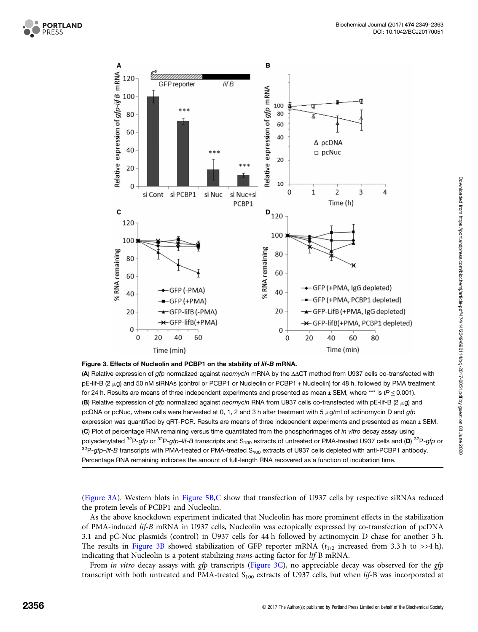<span id="page-7-0"></span>



#### Figure 3. Effects of Nucleolin and PCBP1 on the stability of lif-B mRNA.

(A) Relative expression of gfp normalized against neomycin mRNA by the ΔΔCT method from U937 cells co-transfected with  $pE$ -lif-B (2  $\mu$ g) and 50 nM siRNAs (control or PCBP1 or Nucleolin or PCBP1 + Nucleolin) for 48 h, followed by PMA treatment for 24 h. Results are means of three independent experiments and presented as mean  $\pm$  SEM, where \*\*\* is ( $P \le 0.001$ ). (B) Relative expression of gfp normalized against neomycin RNA from U937 cells co-transfected with pE-lif-B (2  $\mu$ g) and pcDNA or pcNuc, where cells were harvested at 0, 1, 2 and 3 h after treatment with 5  $\mu$ g/ml of actinomycin D and gfp expression was quantified by qRT-PCR. Results are means of three independent experiments and presented as mean ± SEM. (C) Plot of percentage RNA remaining versus time quantitated from the phosphorimages of in vitro decay assay using polyadenylated  $^{32}P$ -gfp or  $^{32}P$ -gfp-lif-B transcripts and S<sub>100</sub> extracts of untreated or PMA-treated U937 cells and (D)  $^{32}P$ -gfp or  $32P$ -gfp–lif-B transcripts with PMA-treated or PMA-treated S<sub>100</sub> extracts of U937 cells depleted with anti-PCBP1 antibody. Percentage RNA remaining indicates the amount of full-length RNA recovered as a function of incubation time.

(Figure 3A). Western blots in [Figure 5B,C](#page-11-0) show that transfection of U937 cells by respective siRNAs reduced the protein levels of PCBP1 and Nucleolin.

As the above knockdown experiment indicated that Nucleolin has more prominent effects in the stabilization of PMA-induced lif-B mRNA in U937 cells, Nucleolin was ectopically expressed by co-transfection of pcDNA 3.1 and pC-Nuc plasmids (control) in U937 cells for 44 h followed by actinomycin D chase for another 3 h. The results in Figure 3B showed stabilization of GFP reporter mRNA  $(t_{1/2}$  increased from 3.3 h to >>4 h), indicating that Nucleolin is a potent stabilizing trans-acting factor for lif-B mRNA.

From in vitro decay assays with gfp transcripts (Figure 3C), no appreciable decay was observed for the gfp transcript with both untreated and PMA-treated S<sub>100</sub> extracts of U937 cells, but when lif-B was incorporated at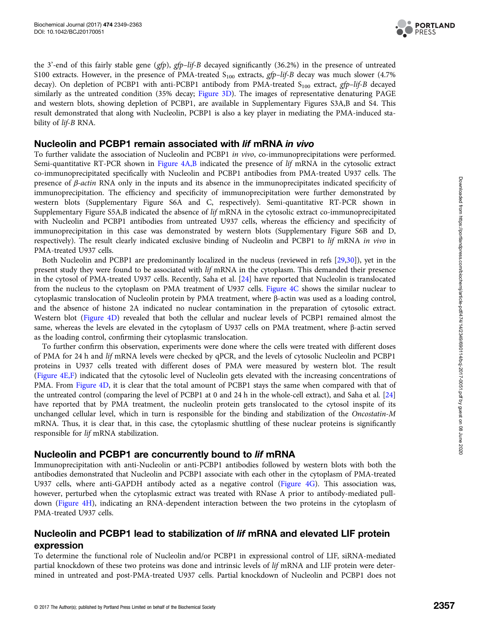

the 3'-end of this fairly stable gene (gfp), gfp–lif-B decayed significantly (36.2%) in the presence of untreated S100 extracts. However, in the presence of PMA-treated  $S_{100}$  extracts, gfp-lif-B decay was much slower (4.7%) decay). On depletion of PCBP1 with anti-PCBP1 antibody from PMA-treated S<sub>100</sub> extract, gfp-lif-B decayed similarly as the untreated condition (35% decay; [Figure 3D\)](#page-7-0). The images of representative denaturing PAGE and western blots, showing depletion of PCBP1, are available in Supplementary Figures S3A,B and S4. This result demonstrated that along with Nucleolin, PCBP1 is also a key player in mediating the PMA-induced stability of lif-B RNA.

#### Nucleolin and PCBP1 remain associated with lif mRNA in vivo

To further validate the association of Nucleolin and PCBP1 in vivo, co-immunoprecipitations were performed. Semi-quantitative RT-PCR shown in [Figure 4A,B](#page-9-0) indicated the presence of lif mRNA in the cytosolic extract co-immunoprecipitated specifically with Nucleolin and PCBP1 antibodies from PMA-treated U937 cells. The presence of β-actin RNA only in the inputs and its absence in the immunoprecipitates indicated specificity of immunoprecipitation. The efficiency and specificity of immunoprecipitation were further demonstrated by western blots (Supplementary Figure S6A and C, respectively). Semi-quantitative RT-PCR shown in Supplementary Figure S5A,B indicated the absence of lif mRNA in the cytosolic extract co-immunoprecipitated with Nucleolin and PCBP1 antibodies from untreated U937 cells, whereas the efficiency and specificity of immunoprecipitation in this case was demonstrated by western blots (Supplementary Figure S6B and D, respectively). The result clearly indicated exclusive binding of Nucleolin and PCBP1 to lif mRNA in vivo in PMA-treated U937 cells.

Both Nucleolin and PCBP1 are predominantly localized in the nucleus (reviewed in refs [\[29,30\]](#page-14-0)), yet in the present study they were found to be associated with lif mRNA in the cytoplasm. This demanded their presence in the cytosol of PMA-treated U937 cells. Recently, Saha et al. [[24](#page-13-0)] have reported that Nucleolin is translocated from the nucleus to the cytoplasm on PMA treatment of U937 cells. [Figure 4C](#page-9-0) shows the similar nuclear to cytoplasmic translocation of Nucleolin protein by PMA treatment, where β-actin was used as a loading control, and the absence of histone 2A indicated no nuclear contamination in the preparation of cytosolic extract. Western blot [\(Figure 4D\)](#page-9-0) revealed that both the cellular and nuclear levels of PCBP1 remained almost the same, whereas the levels are elevated in the cytoplasm of U937 cells on PMA treatment, where β-actin served as the loading control, confirming their cytoplasmic translocation.

To further confirm this observation, experiments were done where the cells were treated with different doses of PMA for 24 h and lif mRNA levels were checked by qPCR, and the levels of cytosolic Nucleolin and PCBP1 proteins in U937 cells treated with different doses of PMA were measured by western blot. The result ([Figure 4E,F](#page-9-0)) indicated that the cytosolic level of Nucleolin gets elevated with the increasing concentrations of PMA. From [Figure 4D](#page-9-0), it is clear that the total amount of PCBP1 stays the same when compared with that of the untreated control (comparing the level of PCBP1 at 0 and 24 h in the whole-cell extract), and Saha et al. [\[24\]](#page-13-0) have reported that by PMA treatment, the nucleolin protein gets translocated to the cytosol inspite of its unchanged cellular level, which in turn is responsible for the binding and stabilization of the Oncostatin-M mRNA. Thus, it is clear that, in this case, the cytoplasmic shuttling of these nuclear proteins is significantly responsible for lif mRNA stabilization.

#### Nucleolin and PCBP1 are concurrently bound to lif mRNA

Immunoprecipitation with anti-Nucleolin or anti-PCBP1 antibodies followed by western blots with both the antibodies demonstrated that Nucleolin and PCBP1 associate with each other in the cytoplasm of PMA-treated U937 cells, where anti-GAPDH antibody acted as a negative control ([Figure 4G](#page-9-0)). This association was, however, perturbed when the cytoplasmic extract was treated with RNase A prior to antibody-mediated pulldown ([Figure 4H\)](#page-9-0), indicating an RNA-dependent interaction between the two proteins in the cytoplasm of PMA-treated U937 cells.

# Nucleolin and PCBP1 lead to stabilization of lif mRNA and elevated LIF protein expression

To determine the functional role of Nucleolin and/or PCBP1 in expressional control of LIF, siRNA-mediated partial knockdown of these two proteins was done and intrinsic levels of lif mRNA and LIF protein were determined in untreated and post-PMA-treated U937 cells. Partial knockdown of Nucleolin and PCBP1 does not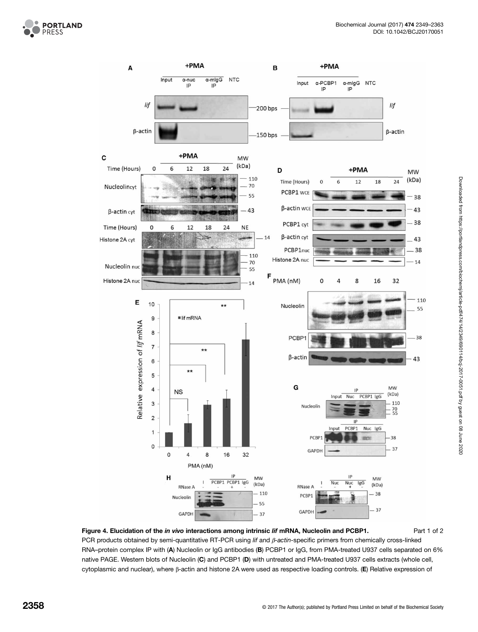<span id="page-9-0"></span>



Figure 4. Elucidation of the *in vivo* interactions among intrinsic lif mRNA, Nucleolin and PCBP1. Part 1 of 2 PCR products obtained by semi-quantitative RT-PCR using lif and β-actin-specific primers from chemically cross-linked RNA–protein complex IP with (A) Nucleolin or IgG antibodies (B) PCBP1 or IgG, from PMA-treated U937 cells separated on 6% native PAGE. Western blots of Nucleolin (C) and PCBP1 (D) with untreated and PMA-treated U937 cells extracts (whole cell, cytoplasmic and nuclear), where β-actin and histone 2A were used as respective loading controls. (E) Relative expression of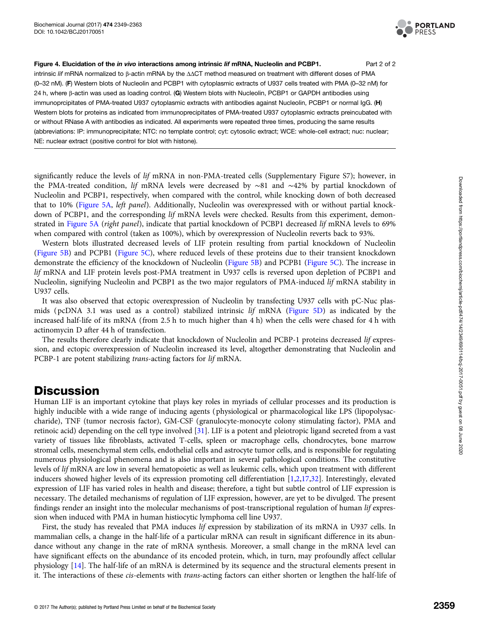

Figure 4. Elucidation of the in vivo interactions among intrinsic lif mRNA, Nucleolin and PCBP1. Part 2 of 2

intrinsic lif mRNA normalized to <sup>β</sup>-actin mRNA by the ΔΔCT method measured on treatment with different doses of PMA (0–32 nM). (F) Western blots of Nucleolin and PCBP1 with cytoplasmic extracts of U937 cells treated with PMA (0–32 nM) for 24 h, where β-actin was used as loading control. (G) Western blots with Nucleolin, PCBP1 or GAPDH antibodies using immunoprcipitates of PMA-treated U937 cytoplasmic extracts with antibodies against Nucleolin, PCBP1 or normal IgG. (H) Western blots for proteins as indicated from immunoprecipitates of PMA-treated U937 cytoplasmic extracts preincubated with or without RNase A with antibodies as indicated. All experiments were repeated three times, producing the same results (abbreviations: IP: immunoprecipitate; NTC: no template control; cyt: cytosolic extract; WCE: whole-cell extract; nuc: nuclear; NE: nuclear extract (positive control for blot with histone).

significantly reduce the levels of *lif* mRNA in non-PMA-treated cells (Supplementary Figure S7); however, in the PMA-treated condition, lif mRNA levels were decreased by ∼81 and ∼42% by partial knockdown of Nucleolin and PCBP1, respectively, when compared with the control, while knocking down of both decreased that to 10% ([Figure 5A,](#page-11-0) left panel). Additionally, Nucleolin was overexpressed with or without partial knockdown of PCBP1, and the corresponding lif mRNA levels were checked. Results from this experiment, demonstrated in [Figure 5A](#page-11-0) (right panel), indicate that partial knockdown of PCBP1 decreased lif mRNA levels to 69% when compared with control (taken as 100%), which by overexpression of Nucleolin reverts back to 93%.

Western blots illustrated decreased levels of LIF protein resulting from partial knockdown of Nucleolin ([Figure 5B](#page-11-0)) and PCPB1 ([Figure 5C\)](#page-11-0), where reduced levels of these proteins due to their transient knockdown demonstrate the efficiency of the knockdown of Nucleolin [\(Figure 5B](#page-11-0)) and PCPB1 ([Figure 5C\)](#page-11-0). The increase in lif mRNA and LIF protein levels post-PMA treatment in U937 cells is reversed upon depletion of PCBP1 and Nucleolin, signifying Nucleolin and PCBP1 as the two major regulators of PMA-induced lif mRNA stability in U937 cells.

It was also observed that ectopic overexpression of Nucleolin by transfecting U937 cells with pC-Nuc plasmids ( pcDNA 3.1 was used as a control) stabilized intrinsic lif mRNA ([Figure 5D](#page-11-0)) as indicated by the increased half-life of its mRNA (from 2.5 h to much higher than 4 h) when the cells were chased for 4 h with actinomycin D after 44 h of transfection.

The results therefore clearly indicate that knockdown of Nucleolin and PCBP-1 proteins decreased lif expression, and ectopic overexpression of Nucleolin increased its level, altogether demonstrating that Nucleolin and PCBP-1 are potent stabilizing *trans*-acting factors for *lif* mRNA.

# **Discussion**

Human LIF is an important cytokine that plays key roles in myriads of cellular processes and its production is highly inducible with a wide range of inducing agents ( physiological or pharmacological like LPS (lipopolysaccharide), TNF (tumor necrosis factor), GM-CSF (granulocyte-monocyte colony stimulating factor), PMA and retinoic acid) depending on the cell type involved [[31](#page-14-0)]. LIF is a potent and pleiotropic ligand secreted from a vast variety of tissues like fibroblasts, activated T-cells, spleen or macrophage cells, chondrocytes, bone marrow stromal cells, mesenchymal stem cells, endothelial cells and astrocyte tumor cells, and is responsible for regulating numerous physiological phenomena and is also important in several pathological conditions. The constitutive levels of lif mRNA are low in several hematopoietic as well as leukemic cells, which upon treatment with different inducers showed higher levels of its expression promoting cell differentiation [[1,2,17](#page-13-0),[32](#page-14-0)]. Interestingly, elevated expression of LIF has varied roles in health and disease; therefore, a tight but subtle control of LIF expression is necessary. The detailed mechanisms of regulation of LIF expression, however, are yet to be divulged. The present findings render an insight into the molecular mechanisms of post-transcriptional regulation of human lif expression when induced with PMA in human histiocytic lymphoma cell line U937.

First, the study has revealed that PMA induces lif expression by stabilization of its mRNA in U937 cells. In mammalian cells, a change in the half-life of a particular mRNA can result in significant difference in its abundance without any change in the rate of mRNA synthesis. Moreover, a small change in the mRNA level can have significant effects on the abundance of its encoded protein, which, in turn, may profoundly affect cellular physiology [[14](#page-13-0)]. The half-life of an mRNA is determined by its sequence and the structural elements present in it. The interactions of these cis-elements with trans-acting factors can either shorten or lengthen the half-life of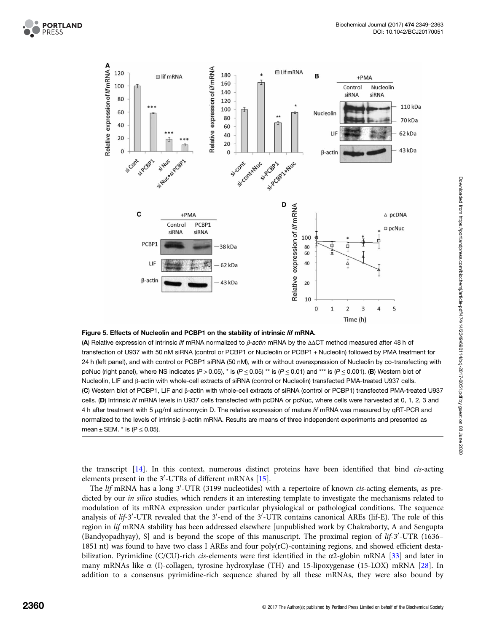<span id="page-11-0"></span>



#### Figure 5. Effects of Nucleolin and PCBP1 on the stability of intrinsic lif mRNA.

(A) Relative expression of intrinsic lif mRNA normalized to  $\beta$ -actin mRNA by the  $\Delta\Delta CT$  method measured after 48 h of transfection of U937 with 50 nM siRNA (control or PCBP1 or Nucleolin or PCBP1 + Nucleolin) followed by PMA treatment for 24 h (left panel), and with control or PCBP1 siRNA (50 nM), with or without overexpression of Nucleolin by co-transfecting with pcNuc (right panel), where NS indicates (P > 0.05), \* is (P  $\leq$  0.05) \*\* is (P  $\leq$  0.01) and \*\*\* is (P  $\leq$  0.001). (B) Western blot of Nucleolin, LIF and β-actin with whole-cell extracts of siRNA (control or Nucleolin) transfected PMA-treated U937 cells. (C) Western blot of PCBP1, LIF and β-actin with whole-cell extracts of siRNA (control or PCBP1) transfected PMA-treated U937 cells. (D) Intrinsic lif mRNA levels in U937 cells transfected with pcDNA or pcNuc, where cells were harvested at 0, 1, 2, 3 and 4 h after treatment with 5 µg/ml actinomycin D. The relative expression of mature lif mRNA was measured by qRT-PCR and normalized to the levels of intrinsic β-actin mRNA. Results are means of three independent experiments and presented as mean  $\pm$  SEM.  $*$  is (P  $\leq$  0.05).

the transcript [\[14\]](#page-13-0). In this context, numerous distinct proteins have been identified that bind cis-acting elements present in the  $3'$ -UTRs of different mRNAs [\[15\]](#page-13-0).

The lif mRNA has a long 3'-UTR (3199 nucleotides) with a repertoire of known *cis*-acting elements, as predicted by our *in silico* studies, which renders it an interesting template to investigate the mechanisms related to modulation of its mRNA expression under particular physiological or pathological conditions. The sequence analysis of lif-3'-UTR revealed that the 3'-end of the  $3'$ -UTR contains canonical AREs (lif-E). The role of this region in lif mRNA stability has been addressed elsewhere [unpublished work by Chakraborty, A and Sengupta (Bandyopadhyay), S] and is beyond the scope of this manuscript. The proximal region of  $lif-3'$ -UTR (1636– 1851 nt) was found to have two class I AREs and four poly(rC)-containing regions, and showed efficient destabilization. Pyrimidine (C/CU)-rich cis-elements were first identified in the  $\alpha$ 2-globin mRNA [\[33\]](#page-14-0) and later in many mRNAs like  $\alpha$  (I)-collagen, tyrosine hydroxylase (TH) and 15-lipoxygenase (15-LOX) mRNA [[28](#page-14-0)]. In addition to a consensus pyrimidine-rich sequence shared by all these mRNAs, they were also bound by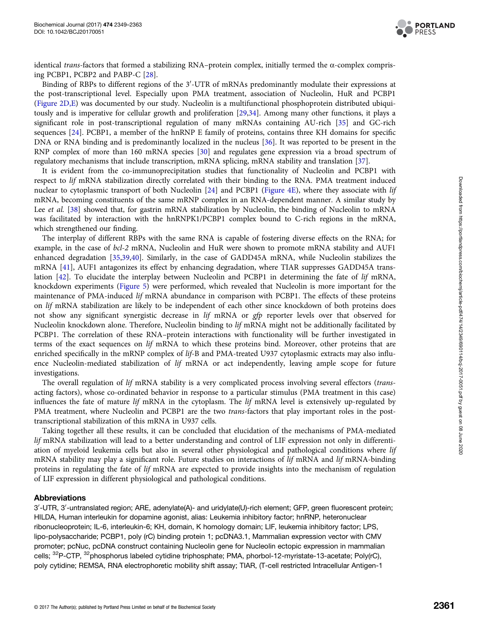

identical *trans*-factors that formed a stabilizing RNA–protein complex, initially termed the α-complex comprising PCBP1, PCBP2 and PABP-C [[28](#page-14-0)].

Binding of RBPs to different regions of the  $3'$ -UTR of mRNAs predominantly modulate their expressions at the post-transcriptional level. Especially upon PMA treatment, association of Nucleolin, HuR and PCBP1 ([Figure 2D,E](#page-6-0)) was documented by our study. Nucleolin is a multifunctional phosphoprotein distributed ubiquitously and is imperative for cellular growth and proliferation [\[29,34](#page-14-0)]. Among many other functions, it plays a significant role in post-transcriptional regulation of many mRNAs containing AU-rich [[35](#page-14-0)] and GC-rich sequences [\[24\]](#page-13-0). PCBP1, a member of the hnRNP E family of proteins, contains three KH domains for specific DNA or RNA binding and is predominantly localized in the nucleus [[36](#page-14-0)]. It was reported to be present in the RNP complex of more than 160 mRNA species [\[30\]](#page-14-0) and regulates gene expression via a broad spectrum of regulatory mechanisms that include transcription, mRNA splicing, mRNA stability and translation [\[37\]](#page-14-0).

It is evident from the co-immunoprecipitation studies that functionality of Nucleolin and PCBP1 with respect to lif mRNA stabilization directly correlated with their binding to the RNA. PMA treatment induced nuclear to cytoplasmic transport of both Nucleolin [[24](#page-13-0)] and PCBP1 [\(Figure 4E\)](#page-9-0), where they associate with lif mRNA, becoming constituents of the same mRNP complex in an RNA-dependent manner. A similar study by Lee et al. [\[38](#page-14-0)] showed that, for gastrin mRNA stabilization by Nucleolin, the binding of Nucleolin to mRNA was facilitated by interaction with the hnRNPK1/PCBP1 complex bound to C-rich regions in the mRNA, which strengthened our finding.

The interplay of different RBPs with the same RNA is capable of fostering diverse effects on the RNA; for example, in the case of bcl-2 mRNA, Nucleolin and HuR were shown to promote mRNA stability and AUF1 enhanced degradation [\[35,39,40](#page-14-0)]. Similarly, in the case of GADD45A mRNA, while Nucleolin stabilizes the mRNA [[41\]](#page-14-0), AUF1 antagonizes its effect by enhancing degradation, where TIAR suppresses GADD45A translation [\[42\]](#page-14-0). To elucidate the interplay between Nucleolin and PCBP1 in determining the fate of lif mRNA, knockdown experiments ([Figure 5\)](#page-11-0) were performed, which revealed that Nucleolin is more important for the maintenance of PMA-induced lif mRNA abundance in comparison with PCBP1. The effects of these proteins on lif mRNA stabilization are likely to be independent of each other since knockdown of both proteins does not show any significant synergistic decrease in lif mRNA or gfp reporter levels over that observed for Nucleolin knockdown alone. Therefore, Nucleolin binding to lif mRNA might not be additionally facilitated by PCBP1. The correlation of these RNA–protein interactions with functionality will be further investigated in terms of the exact sequences on lif mRNA to which these proteins bind. Moreover, other proteins that are enriched specifically in the mRNP complex of lif-B and PMA-treated U937 cytoplasmic extracts may also influence Nucleolin-mediated stabilization of lif mRNA or act independently, leaving ample scope for future investigations.

The overall regulation of lif mRNA stability is a very complicated process involving several effectors (transacting factors), whose co-ordinated behavior in response to a particular stimulus (PMA treatment in this case) influences the fate of mature lif mRNA in the cytoplasm. The lif mRNA level is extensively up-regulated by PMA treatment, where Nucleolin and PCBP1 are the two *trans-factors* that play important roles in the posttranscriptional stabilization of this mRNA in U937 cells.

Taking together all these results, it can be concluded that elucidation of the mechanisms of PMA-mediated lif mRNA stabilization will lead to a better understanding and control of LIF expression not only in differentiation of myeloid leukemia cells but also in several other physiological and pathological conditions where lif mRNA stability may play a significant role. Future studies on interactions of lif mRNA and lif mRNA-binding proteins in regulating the fate of lif mRNA are expected to provide insights into the mechanism of regulation of LIF expression in different physiological and pathological conditions.

#### Abbreviations

3'-UTR, 3'-untranslated region; ARE, adenylate(A)- and uridylate(U)-rich element; GFP, green fluorescent protein; HILDA, Human interleukin for dopamine agonist, alias: Leukemia inhibitory factor; hnRNP, heteronuclear ribonucleoprotein; IL-6, interleukin-6; KH, domain, K homology domain; LIF, leukemia inhibitory factor; LPS, lipo-polysaccharide; PCBP1, poly (rC) binding protein 1; pcDNA3.1, Mammalian expression vector with CMV promoter; pcNuc, pcDNA construct containing Nucleolin gene for Nucleolin ectopic expression in mammalian cells; <sup>32</sup>P-CTP, <sup>32</sup>phosphorus labeled cytidine triphosphate; PMA, phorbol-12-myristate-13-acetate; Poly(rC), poly cytidine; REMSA, RNA electrophoretic mobility shift assay; TIAR, (T-cell restricted Intracellular Antigen-1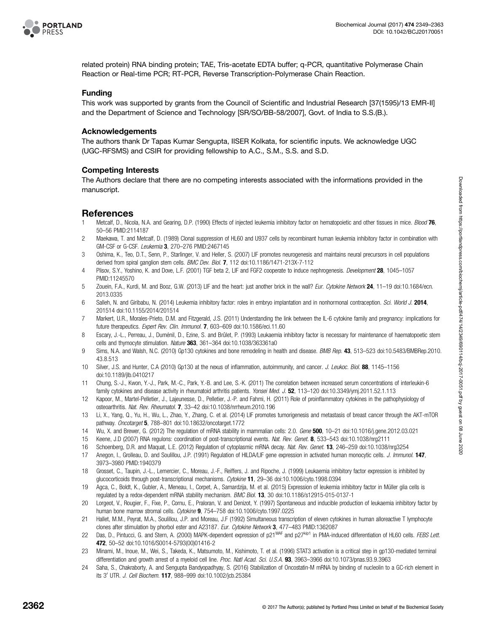<span id="page-13-0"></span>

related protein) RNA binding protein; TAE, Tris-acetate EDTA buffer; q-PCR, quantitative Polymerase Chain Reaction or Real-time PCR; RT-PCR, Reverse Transcription-Polymerase Chain Reaction.

#### Funding

This work was supported by grants from the Council of Scientific and Industrial Research [37(1595)/13 EMR-II] and the Department of Science and Technology [SR/SO/BB-58/2007], Govt. of India to S.S.(B.).

#### Acknowledgements

The authors thank Dr Tapas Kumar Sengupta, IISER Kolkata, for scientific inputs. We acknowledge UGC (UGC-RFSMS) and CSIR for providing fellowship to A.C., S.M., S.S. and S.D.

#### Competing Interests

The Authors declare that there are no competing interests associated with the informations provided in the manuscript.

#### References

- 1 Metcalf, D., Nicola, N.A. and Gearing, D.P. (1990) Effects of injected leukemia inhibitory factor on hematopoietic and other tissues in mice. *Blood* 76, 50–56 PMID:[2114187](http://www.ncbi.nlm.nih.gov/pubmed/2114187)
- 2 Maekawa, T. and Metcalf, D. (1989) Clonal suppression of HL60 and U937 cells by recombinant human leukemia inhibitory factor in combination with GM-CSF or G-CSF. Leukemia 3, 270–276 PMID:[2467145](http://www.ncbi.nlm.nih.gov/pubmed/2467145)
- 3 Oshima, K., Teo, D.T., Senn, P., Starlinger, V. and Heller, S. (2007) LIF promotes neurogenesis and maintains neural precursors in cell populations derived from spiral ganglion stem cells. BMC Dev. Biol. 7, 112 doi[:10.1186/1471-213X-7-112](http://dx.doi.org/doi:10.1186/1471-213X-7-112)
- 4 Plisov, S.Y., Yoshino, K. and Dove, L.F. (2001) TGF beta 2, LIF and FGF2 cooperate to induce nephrogenesis. Development 28, 1045-1057 PMID:[11245570](http://www.ncbi.nlm.nih.gov/pubmed/11245570)
- 5 Zouein, F.A., Kurdi, M. and Booz, G.W. (2013) LIF and the heart: just another brick in the wall? Eur. Cytokine Network 24, 11-19 doi[:10.1684/ecn.](http://dx.doi.org/doi:10.1684/ecn.2013.0335) [2013.0335](http://dx.doi.org/doi:10.1684/ecn.2013.0335)
- 6 Salleh, N. and Giribabu, N. (2014) Leukemia inhibitory factor: roles in embryo implantation and in nonhormonal contraception. Sci. World J. 2014, 201514 doi:[10.1155/2014/201514](http://dx.doi.org/doi:10.1155/2014/201514)
- 7 Markert, U.R., Morales-Prieto, D.M. and Fitzgerald, J.S. (2011) Understanding the link between the IL-6 cytokine family and pregnancy: implications for future therapeutics. Expert Rev. Clin. Immunol. 7, 603–609 doi[:10.1586/eci.11.60](http://dx.doi.org/doi:10.1586/eci.11.60)
- 8 Escary, J.-L., Perreau, J., Duménil, D., Ezine, S. and Brûlet, P. (1993) Leukaemia inhibitory factor is necessary for maintenance of haematopoetic stem cells and thymocyte stimulation. Nature 363, 361-364 doi[:10.1038/363361a0](http://dx.doi.org/doi:10.1038/363361a0)
- 9 Sims, N.A. and Walsh, N.C. (2010) Gp130 cytokines and bone remodeling in health and disease. BMB Rep. 43, 513–523 doi[:10.5483/BMBRep.2010.](http://dx.doi.org/doi:10.5483/BMBRep.2010.43.8.513) [43.8.513](http://dx.doi.org/doi:10.5483/BMBRep.2010.43.8.513)
- 10 Silver, J.S. and Hunter, C.A (2010) Gp130 at the nexus of inflammation, autoimmunity, and cancer. J. Leukoc. Biol. 88, 1145–1156 doi[:10.1189/jlb.0410217](http://dx.doi.org/doi:10.1189/jlb.0410217)
- 11 Chung, S.-J., Kwon, Y.-J., Park, M.-C., Park, Y.-B. and Lee, S.-K. (2011) The correlation between increased serum concentrations of interleukin-6 family cytokines and disease activity in rheumatoid arthritis patients. Yonsei Med. J. 52, 113–120 doi:[10.3349/ymj.2011.52.1.113](http://dx.doi.org/doi:10.3349/ymj.2011.52.1.113)
- 12 Kapoor, M., Martel-Pelletier, J., Lajeunesse, D., Pelletier, J.-P. and Fahmi, H. (2011) Role of proinflammatory cytokines in the pathophysiology of osteoarthritis. Nat. Rev. Rheumatol. 7, 33–42 doi:[10.1038/nrrheum.2010.196](http://dx.doi.org/doi:10.1038/nrrheum.2010.196)
- 13 Li, X., Yang, Q., Yu, H., Wu, L., Zhao, Y., Zhang, C. et al. (2014) LIF promotes tumorigenesis and metastasis of breast cancer through the AKT-mTOR pathway. Oncotarget 5, 788–801 doi[:10.18632/oncotarget.1772](http://dx.doi.org/doi:10.18632/oncotarget.1772)
- 14 Wu, X. and Brewer, G. (2012) The regulation of mRNA stability in mammalian cells: 2.0. Gene 500, 10–21 doi[:10.1016/j.gene.2012.03.021](http://dx.doi.org/doi:10.1016/j.gene.2012.03.021)
- 15 Keene, J.D (2007) RNA regulons: coordination of post-transcriptional events. Nat. Rev. Genet. 8, 533–543 doi:[10.1038/nrg2111](http://dx.doi.org/doi:10.1038/nrg2111)
- 16 Schoenberg, D.R. and Maquat, L.E. (2012) Regulation of cytoplasmic mRNA decay. Nat. Rev. Genet. 13, 246–259 doi[:10.1038/nrg3254](http://dx.doi.org/doi:10.1038/nrg3254)
- 17 Anegon, I., Grolleau, D. and Soulillou, J.P. (1991) Regulation of HILDA/LIF gene expression in activated human monocytic cells. J. Immunol. 147, 3973–3980 PMID:[1940379](http://www.ncbi.nlm.nih.gov/pubmed/1940379)
- 18 Grosset, C., Taupin, J.-L., Lemercier, C., Moreau, J.-F., Reiffers, J. and Ripoche, J. (1999) Leukaemia inhibitory factor expression is inhibited by glucocorticoids through post-transcriptional mechanisms. Cytokine 11, 29–36 doi[:10.1006/cyto.1998.0394](http://dx.doi.org/doi:10.1006/cyto.1998.0394)
- 19 Agca, C., Boldt, K., Gubler, A., Meneau, I., Corpet, A., Samardzija, M. et al. (2015) Expression of leukemia inhibitory factor in Müller glia cells is regulated by a redox-dependent mRNA stability mechanism. BMC Biol. 13, 30 doi:[10.1186/s12915-015-0137-1](http://dx.doi.org/doi:10.1186/s12915-015-0137-1)
- 20 Lorgeot, V., Rougier, F., Fixe, P., Cornu, E., Praloran, V. and Denizot, Y. (1997) Spontaneous and inducible production of leukaemia inhibitory factor by human bone marrow stromal cells. Cytokine 9, 754–758 doi:[10.1006/cyto.1997.0225](http://dx.doi.org/doi:10.1006/cyto.1997.0225)
- 21 Hallet, M.M., Peyrat, M.A., Soulillou, J.P. and Moreau, J.F (1992) Simultaneous transcription of eleven cytokines in human alloreactive T lymphocyte clones after stimulation by phorbol ester and A23187. Eur. Cytokine Network 3, 477–483 PMID[:1362087](http://www.ncbi.nlm.nih.gov/pubmed/1362087)
- 22 Das, D., Pintucci, G. and Stern, A. (2000) MAPK-dependent expression of p21<sup>WAF</sup> and p27<sup>kip1</sup> in PMA-induced differentiation of HL60 cells. FEBS Lett. 472, 50–52 doi:[10.1016/S0014-5793\(00\)01416-2](http://dx.doi.org/doi:10.1016/S0014-5793(00)01416-2)
- 23 Minami, M., Inoue, M., Wei, S., Takeda, K., Matsumoto, M., Kishimoto, T. et al. (1996) STAT3 activation is a critical step in gp130-mediated terminal differentiation and growth arrest of a myeloid cell line. Proc. Natl Acad. Sci. U.S.A. 93, 3963-3966 doi[:10.1073/pnas.93.9.3963](http://dx.doi.org/doi:10.1073/pnas.93.9.3963)
- 24 Saha, S., Chakraborty, A. and Sengupta Bandyopadhyay, S. (2016) Stabilization of Oncostatin-M mRNA by binding of nucleolin to a GC-rich element in its 3' UTR. J. Cell Biochem. 117, 988-999 doi:[10.1002/jcb.25384](http://dx.doi.org/doi:10.1002/jcb.25384)